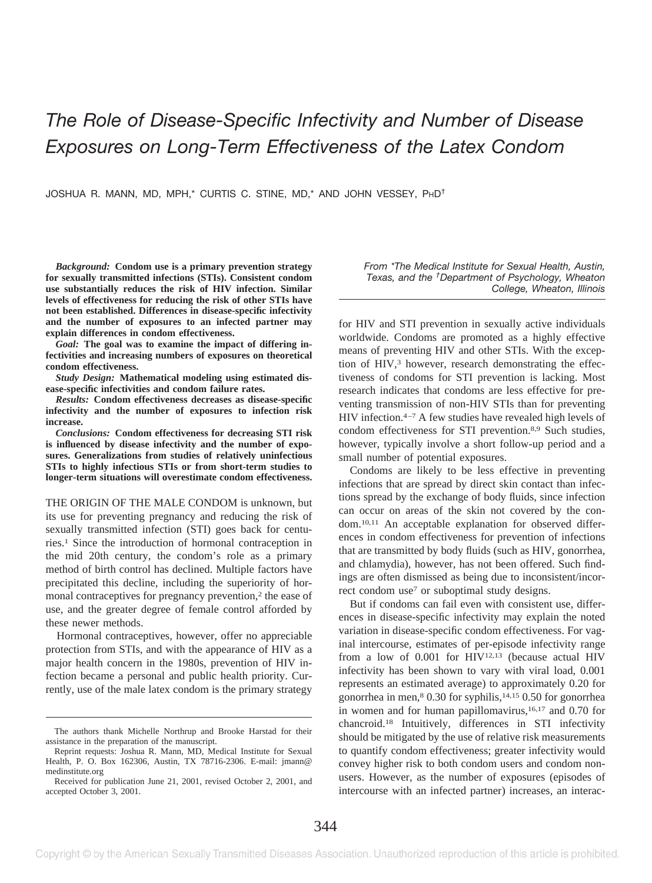# *The Role of Disease-Specific Infectivity and Number of Disease Exposures on Long-Term Effectiveness of the Latex Condom*

JOSHUA R. MANN, MD, MPH,\* CURTIS C. STINE, MD,\* AND JOHN VESSEY, PHD†

*Background:* **Condom use is a primary prevention strategy for sexually transmitted infections (STIs). Consistent condom use substantially reduces the risk of HIV infection. Similar levels of effectiveness for reducing the risk of other STIs have not been established. Differences in disease-specific infectivity and the number of exposures to an infected partner may explain differences in condom effectiveness.**

*Goal:* **The goal was to examine the impact of differing infectivities and increasing numbers of exposures on theoretical condom effectiveness.**

*Study Design:* **Mathematical modeling using estimated disease-specific infectivities and condom failure rates.**

*Results:* **Condom effectiveness decreases as disease-specific infectivity and the number of exposures to infection risk increase.**

*Conclusions:* **Condom effectiveness for decreasing STI risk is influenced by disease infectivity and the number of exposures. Generalizations from studies of relatively uninfectious STIs to highly infectious STIs or from short-term studies to longer-term situations will overestimate condom effectiveness.**

THE ORIGIN OF THE MALE CONDOM is unknown, but its use for preventing pregnancy and reducing the risk of sexually transmitted infection (STI) goes back for centuries.1 Since the introduction of hormonal contraception in the mid 20th century, the condom's role as a primary method of birth control has declined. Multiple factors have precipitated this decline, including the superiority of hormonal contraceptives for pregnancy prevention,<sup>2</sup> the ease of use, and the greater degree of female control afforded by these newer methods.

Hormonal contraceptives, however, offer no appreciable protection from STIs, and with the appearance of HIV as a major health concern in the 1980s, prevention of HIV infection became a personal and public health priority. Currently, use of the male latex condom is the primary strategy

*From \*The Medical Institute for Sexual Health, Austin, Texas, and the † Department of Psychology, Wheaton College, Wheaton, Illinois*

for HIV and STI prevention in sexually active individuals worldwide. Condoms are promoted as a highly effective means of preventing HIV and other STIs. With the exception of HIV,<sup>3</sup> however, research demonstrating the effectiveness of condoms for STI prevention is lacking. Most research indicates that condoms are less effective for preventing transmission of non-HIV STIs than for preventing HIV infection.4–7 A few studies have revealed high levels of condom effectiveness for STI prevention.8,9 Such studies, however, typically involve a short follow-up period and a small number of potential exposures.

Condoms are likely to be less effective in preventing infections that are spread by direct skin contact than infections spread by the exchange of body fluids, since infection can occur on areas of the skin not covered by the condom.10,11 An acceptable explanation for observed differences in condom effectiveness for prevention of infections that are transmitted by body fluids (such as HIV, gonorrhea, and chlamydia), however, has not been offered. Such findings are often dismissed as being due to inconsistent/incorrect condom use<sup>7</sup> or suboptimal study designs.

But if condoms can fail even with consistent use, differences in disease-specific infectivity may explain the noted variation in disease-specific condom effectiveness. For vaginal intercourse, estimates of per-episode infectivity range from a low of  $0.001$  for  $HIV^{12,13}$  (because actual  $HIV$ infectivity has been shown to vary with viral load, 0.001 represents an estimated average) to approximately 0.20 for gonorrhea in men,<sup>8</sup> 0.30 for syphilis,  $14,15$  0.50 for gonorrhea in women and for human papillomavirus, $16,17$  and 0.70 for chancroid.18 Intuitively, differences in STI infectivity should be mitigated by the use of relative risk measurements to quantify condom effectiveness; greater infectivity would convey higher risk to both condom users and condom nonusers. However, as the number of exposures (episodes of intercourse with an infected partner) increases, an interac-

The authors thank Michelle Northrup and Brooke Harstad for their assistance in the preparation of the manuscript.

Reprint requests: Joshua R. Mann, MD, Medical Institute for Sexual Health, P. O. Box 162306, Austin, TX 78716-2306. E-mail: jmann@ medinstitute.org

Received for publication June 21, 2001, revised October 2, 2001, and accepted October 3, 2001.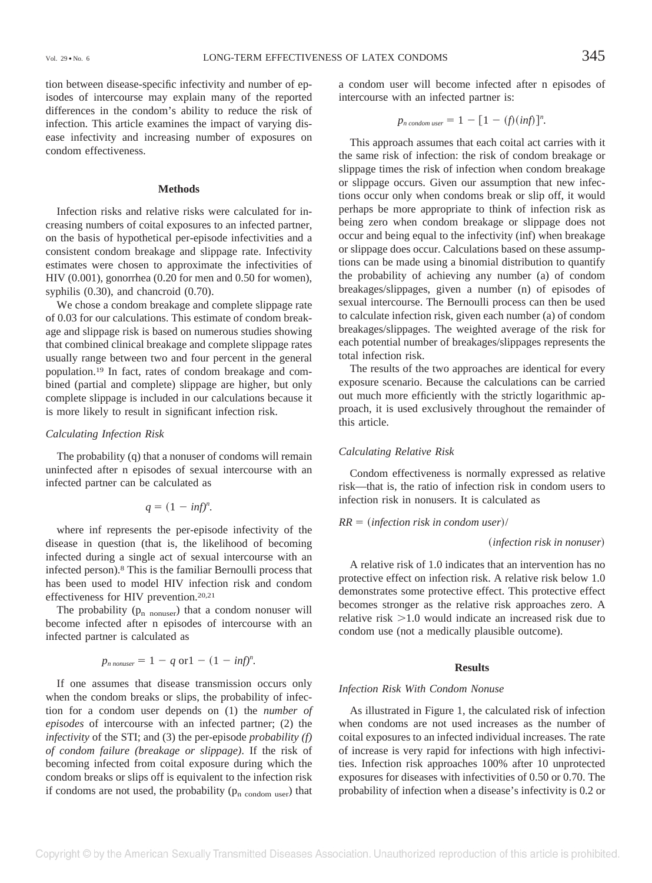tion between disease-specific infectivity and number of episodes of intercourse may explain many of the reported differences in the condom's ability to reduce the risk of infection. This article examines the impact of varying disease infectivity and increasing number of exposures on condom effectiveness.

#### **Methods**

Infection risks and relative risks were calculated for increasing numbers of coital exposures to an infected partner, on the basis of hypothetical per-episode infectivities and a consistent condom breakage and slippage rate. Infectivity estimates were chosen to approximate the infectivities of HIV (0.001), gonorrhea (0.20 for men and 0.50 for women), syphilis (0.30), and chancroid (0.70).

We chose a condom breakage and complete slippage rate of 0.03 for our calculations. This estimate of condom breakage and slippage risk is based on numerous studies showing that combined clinical breakage and complete slippage rates usually range between two and four percent in the general population.19 In fact, rates of condom breakage and combined (partial and complete) slippage are higher, but only complete slippage is included in our calculations because it is more likely to result in significant infection risk.

#### *Calculating Infection Risk*

The probability (q) that a nonuser of condoms will remain uninfected after n episodes of sexual intercourse with an infected partner can be calculated as

$$
q=(1 - inf)^n.
$$

where inf represents the per-episode infectivity of the disease in question (that is, the likelihood of becoming infected during a single act of sexual intercourse with an infected person).8 This is the familiar Bernoulli process that has been used to model HIV infection risk and condom effectiveness for HIV prevention.20,21

The probability  $(p_{n \text{nonuser}})$  that a condom nonuser will become infected after n episodes of intercourse with an infected partner is calculated as

$$
p_{n \text{ nonuser}} = 1 - q \text{ or } 1 - (1 - inf)^n.
$$

If one assumes that disease transmission occurs only when the condom breaks or slips, the probability of infection for a condom user depends on (1) the *number of episodes* of intercourse with an infected partner; (2) the *infectivity* of the STI; and (3) the per-episode *probability (f) of condom failure (breakage or slippage)*. If the risk of becoming infected from coital exposure during which the condom breaks or slips off is equivalent to the infection risk if condoms are not used, the probability  $(p_{n \text{ condom user}})$  that

a condom user will become infected after n episodes of intercourse with an infected partner is:

$$
p_{n\text{ condom user}} = 1 - [1 - (f)(\text{inf})]^n.
$$

This approach assumes that each coital act carries with it the same risk of infection: the risk of condom breakage or slippage times the risk of infection when condom breakage or slippage occurs. Given our assumption that new infections occur only when condoms break or slip off, it would perhaps be more appropriate to think of infection risk as being zero when condom breakage or slippage does not occur and being equal to the infectivity (inf) when breakage or slippage does occur. Calculations based on these assumptions can be made using a binomial distribution to quantify the probability of achieving any number (a) of condom breakages/slippages, given a number (n) of episodes of sexual intercourse. The Bernoulli process can then be used to calculate infection risk, given each number (a) of condom breakages/slippages. The weighted average of the risk for each potential number of breakages/slippages represents the total infection risk.

The results of the two approaches are identical for every exposure scenario. Because the calculations can be carried out much more efficiently with the strictly logarithmic approach, it is used exclusively throughout the remainder of this article.

#### *Calculating Relative Risk*

Condom effectiveness is normally expressed as relative risk—that is, the ratio of infection risk in condom users to infection risk in nonusers. It is calculated as

### $RR = (infection risk in condom user)$

## *infection risk in nonuser*

A relative risk of 1.0 indicates that an intervention has no protective effect on infection risk. A relative risk below 1.0 demonstrates some protective effect. This protective effect becomes stronger as the relative risk approaches zero. A relative risk  $>1.0$  would indicate an increased risk due to condom use (not a medically plausible outcome).

#### **Results**

#### *Infection Risk With Condom Nonuse*

As illustrated in Figure 1, the calculated risk of infection when condoms are not used increases as the number of coital exposures to an infected individual increases. The rate of increase is very rapid for infections with high infectivities. Infection risk approaches 100% after 10 unprotected exposures for diseases with infectivities of 0.50 or 0.70. The probability of infection when a disease's infectivity is 0.2 or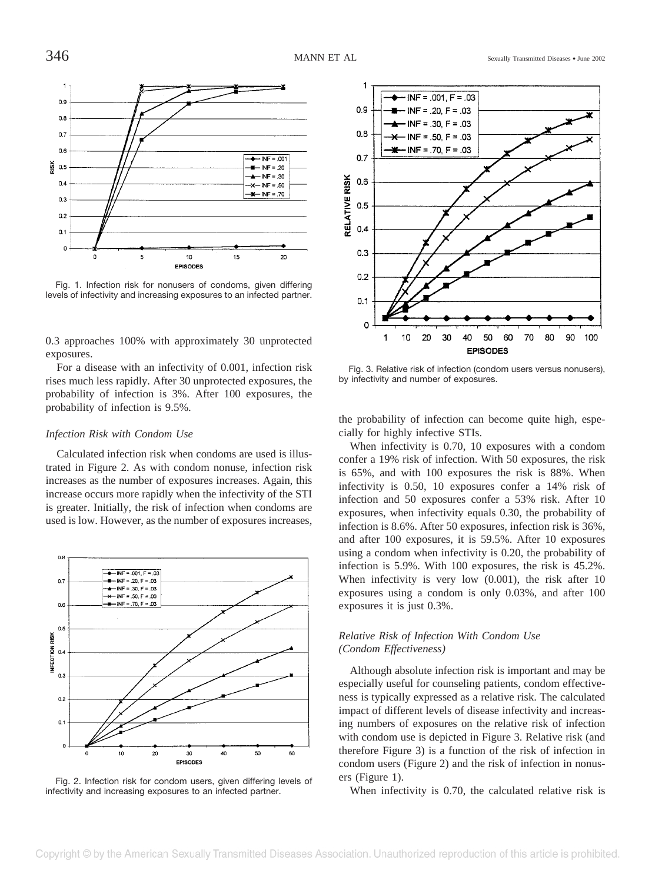

Fig. 1. Infection risk for nonusers of condoms, given differing levels of infectivity and increasing exposures to an infected partner.

0.3 approaches 100% with approximately 30 unprotected exposures.

For a disease with an infectivity of 0.001, infection risk rises much less rapidly. After 30 unprotected exposures, the probability of infection is 3%. After 100 exposures, the probability of infection is 9.5%.

#### *Infection Risk with Condom Use*

Calculated infection risk when condoms are used is illustrated in Figure 2. As with condom nonuse, infection risk increases as the number of exposures increases. Again, this increase occurs more rapidly when the infectivity of the STI is greater. Initially, the risk of infection when condoms are used is low. However, as the number of exposures increases,



Fig. 2. Infection risk for condom users, given differing levels of infectivity and increasing exposures to an infected partner.



Fig. 3. Relative risk of infection (condom users versus nonusers), by infectivity and number of exposures.

the probability of infection can become quite high, especially for highly infective STIs.

When infectivity is 0.70, 10 exposures with a condom confer a 19% risk of infection. With 50 exposures, the risk is 65%, and with 100 exposures the risk is 88%. When infectivity is 0.50, 10 exposures confer a 14% risk of infection and 50 exposures confer a 53% risk. After 10 exposures, when infectivity equals 0.30, the probability of infection is 8.6%. After 50 exposures, infection risk is 36%, and after 100 exposures, it is 59.5%. After 10 exposures using a condom when infectivity is 0.20, the probability of infection is 5.9%. With 100 exposures, the risk is 45.2%. When infectivity is very low (0.001), the risk after 10 exposures using a condom is only 0.03%, and after 100 exposures it is just 0.3%.

## *Relative Risk of Infection With Condom Use (Condom Effectiveness)*

Although absolute infection risk is important and may be especially useful for counseling patients, condom effectiveness is typically expressed as a relative risk. The calculated impact of different levels of disease infectivity and increasing numbers of exposures on the relative risk of infection with condom use is depicted in Figure 3. Relative risk (and therefore Figure 3) is a function of the risk of infection in condom users (Figure 2) and the risk of infection in nonusers (Figure 1).

When infectivity is 0.70, the calculated relative risk is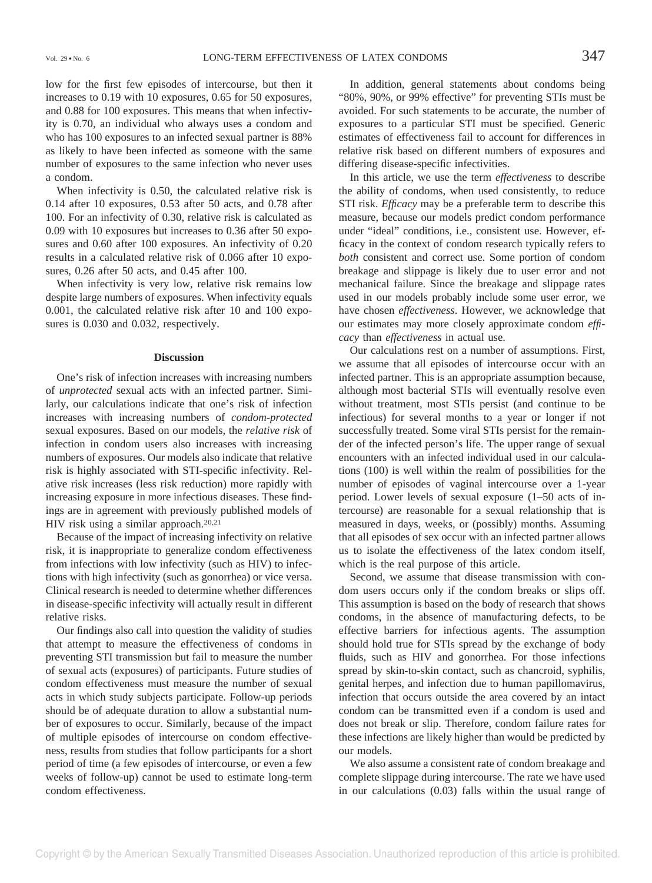low for the first few episodes of intercourse, but then it increases to 0.19 with 10 exposures, 0.65 for 50 exposures, and 0.88 for 100 exposures. This means that when infectivity is 0.70, an individual who always uses a condom and who has 100 exposures to an infected sexual partner is 88% as likely to have been infected as someone with the same number of exposures to the same infection who never uses a condom.

When infectivity is 0.50, the calculated relative risk is 0.14 after 10 exposures, 0.53 after 50 acts, and 0.78 after 100. For an infectivity of 0.30, relative risk is calculated as 0.09 with 10 exposures but increases to 0.36 after 50 exposures and 0.60 after 100 exposures. An infectivity of 0.20 results in a calculated relative risk of 0.066 after 10 exposures, 0.26 after 50 acts, and 0.45 after 100.

When infectivity is very low, relative risk remains low despite large numbers of exposures. When infectivity equals 0.001, the calculated relative risk after 10 and 100 exposures is  $0.030$  and  $0.032$ , respectively.

#### **Discussion**

One's risk of infection increases with increasing numbers of *unprotected* sexual acts with an infected partner. Similarly, our calculations indicate that one's risk of infection increases with increasing numbers of *condom-protected* sexual exposures. Based on our models, the *relative risk* of infection in condom users also increases with increasing numbers of exposures. Our models also indicate that relative risk is highly associated with STI-specific infectivity. Relative risk increases (less risk reduction) more rapidly with increasing exposure in more infectious diseases. These findings are in agreement with previously published models of HIV risk using a similar approach.20,21

Because of the impact of increasing infectivity on relative risk, it is inappropriate to generalize condom effectiveness from infections with low infectivity (such as HIV) to infections with high infectivity (such as gonorrhea) or vice versa. Clinical research is needed to determine whether differences in disease-specific infectivity will actually result in different relative risks.

Our findings also call into question the validity of studies that attempt to measure the effectiveness of condoms in preventing STI transmission but fail to measure the number of sexual acts (exposures) of participants. Future studies of condom effectiveness must measure the number of sexual acts in which study subjects participate. Follow-up periods should be of adequate duration to allow a substantial number of exposures to occur. Similarly, because of the impact of multiple episodes of intercourse on condom effectiveness, results from studies that follow participants for a short period of time (a few episodes of intercourse, or even a few weeks of follow-up) cannot be used to estimate long-term condom effectiveness.

In addition, general statements about condoms being "80%, 90%, or 99% effective" for preventing STIs must be avoided. For such statements to be accurate, the number of exposures to a particular STI must be specified. Generic estimates of effectiveness fail to account for differences in relative risk based on different numbers of exposures and differing disease-specific infectivities.

In this article, we use the term *effectiveness* to describe the ability of condoms, when used consistently, to reduce STI risk. *Efficacy* may be a preferable term to describe this measure, because our models predict condom performance under "ideal" conditions, i.e., consistent use. However, efficacy in the context of condom research typically refers to *both* consistent and correct use. Some portion of condom breakage and slippage is likely due to user error and not mechanical failure. Since the breakage and slippage rates used in our models probably include some user error, we have chosen *effectiveness*. However, we acknowledge that our estimates may more closely approximate condom *efficacy* than *effectiveness* in actual use.

Our calculations rest on a number of assumptions. First, we assume that all episodes of intercourse occur with an infected partner. This is an appropriate assumption because, although most bacterial STIs will eventually resolve even without treatment, most STIs persist (and continue to be infectious) for several months to a year or longer if not successfully treated. Some viral STIs persist for the remainder of the infected person's life. The upper range of sexual encounters with an infected individual used in our calculations (100) is well within the realm of possibilities for the number of episodes of vaginal intercourse over a 1-year period. Lower levels of sexual exposure (1–50 acts of intercourse) are reasonable for a sexual relationship that is measured in days, weeks, or (possibly) months. Assuming that all episodes of sex occur with an infected partner allows us to isolate the effectiveness of the latex condom itself, which is the real purpose of this article.

Second, we assume that disease transmission with condom users occurs only if the condom breaks or slips off. This assumption is based on the body of research that shows condoms, in the absence of manufacturing defects, to be effective barriers for infectious agents. The assumption should hold true for STIs spread by the exchange of body fluids, such as HIV and gonorrhea. For those infections spread by skin-to-skin contact, such as chancroid, syphilis, genital herpes, and infection due to human papillomavirus, infection that occurs outside the area covered by an intact condom can be transmitted even if a condom is used and does not break or slip. Therefore, condom failure rates for these infections are likely higher than would be predicted by our models.

We also assume a consistent rate of condom breakage and complete slippage during intercourse. The rate we have used in our calculations (0.03) falls within the usual range of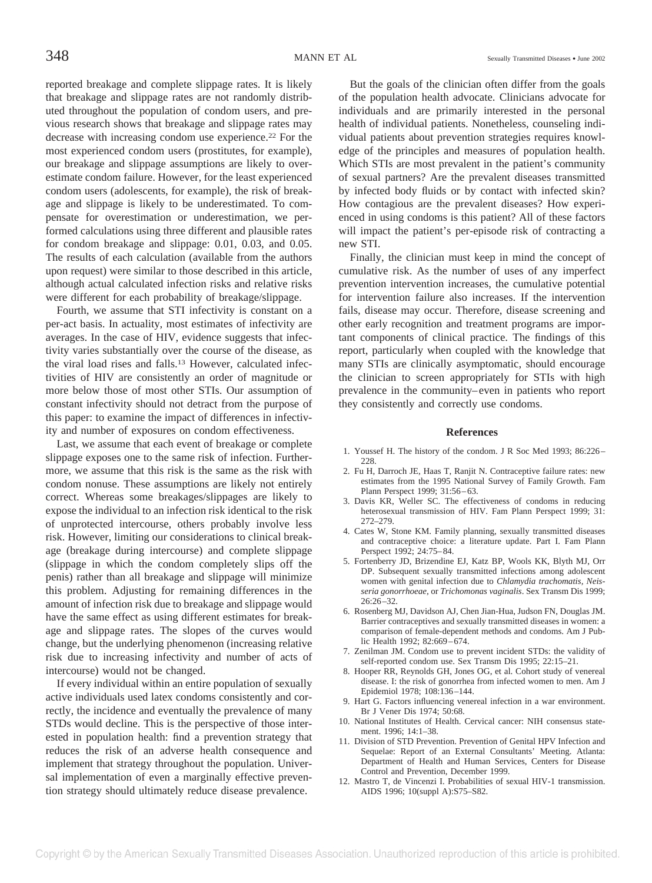reported breakage and complete slippage rates. It is likely that breakage and slippage rates are not randomly distributed throughout the population of condom users, and previous research shows that breakage and slippage rates may decrease with increasing condom use experience.<sup>22</sup> For the most experienced condom users (prostitutes, for example), our breakage and slippage assumptions are likely to overestimate condom failure. However, for the least experienced condom users (adolescents, for example), the risk of breakage and slippage is likely to be underestimated. To compensate for overestimation or underestimation, we performed calculations using three different and plausible rates for condom breakage and slippage: 0.01, 0.03, and 0.05. The results of each calculation (available from the authors upon request) were similar to those described in this article, although actual calculated infection risks and relative risks were different for each probability of breakage/slippage.

Fourth, we assume that STI infectivity is constant on a per-act basis. In actuality, most estimates of infectivity are averages. In the case of HIV, evidence suggests that infectivity varies substantially over the course of the disease, as the viral load rises and falls.13 However, calculated infectivities of HIV are consistently an order of magnitude or more below those of most other STIs. Our assumption of constant infectivity should not detract from the purpose of this paper: to examine the impact of differences in infectivity and number of exposures on condom effectiveness.

Last, we assume that each event of breakage or complete slippage exposes one to the same risk of infection. Furthermore, we assume that this risk is the same as the risk with condom nonuse. These assumptions are likely not entirely correct. Whereas some breakages/slippages are likely to expose the individual to an infection risk identical to the risk of unprotected intercourse, others probably involve less risk. However, limiting our considerations to clinical breakage (breakage during intercourse) and complete slippage (slippage in which the condom completely slips off the penis) rather than all breakage and slippage will minimize this problem. Adjusting for remaining differences in the amount of infection risk due to breakage and slippage would have the same effect as using different estimates for breakage and slippage rates. The slopes of the curves would change, but the underlying phenomenon (increasing relative risk due to increasing infectivity and number of acts of intercourse) would not be changed.

If every individual within an entire population of sexually active individuals used latex condoms consistently and correctly, the incidence and eventually the prevalence of many STDs would decline. This is the perspective of those interested in population health: find a prevention strategy that reduces the risk of an adverse health consequence and implement that strategy throughout the population. Universal implementation of even a marginally effective prevention strategy should ultimately reduce disease prevalence.

But the goals of the clinician often differ from the goals of the population health advocate. Clinicians advocate for individuals and are primarily interested in the personal health of individual patients. Nonetheless, counseling individual patients about prevention strategies requires knowledge of the principles and measures of population health. Which STIs are most prevalent in the patient's community of sexual partners? Are the prevalent diseases transmitted by infected body fluids or by contact with infected skin? How contagious are the prevalent diseases? How experienced in using condoms is this patient? All of these factors will impact the patient's per-episode risk of contracting a new STI.

Finally, the clinician must keep in mind the concept of cumulative risk. As the number of uses of any imperfect prevention intervention increases, the cumulative potential for intervention failure also increases. If the intervention fails, disease may occur. Therefore, disease screening and other early recognition and treatment programs are important components of clinical practice. The findings of this report, particularly when coupled with the knowledge that many STIs are clinically asymptomatic, should encourage the clinician to screen appropriately for STIs with high prevalence in the community–even in patients who report they consistently and correctly use condoms.

#### **References**

- 1. Youssef H. The history of the condom. J R Soc Med 1993; 86:226– 228.
- 2. Fu H, Darroch JE, Haas T, Ranjit N. Contraceptive failure rates: new estimates from the 1995 National Survey of Family Growth. Fam Plann Perspect 1999; 31:56–63.
- 3. Davis KR, Weller SC. The effectiveness of condoms in reducing heterosexual transmission of HIV. Fam Plann Perspect 1999; 31: 272–279.
- 4. Cates W, Stone KM. Family planning, sexually transmitted diseases and contraceptive choice: a literature update. Part I. Fam Plann Perspect 1992; 24:75–84.
- 5. Fortenberry JD, Brizendine EJ, Katz BP, Wools KK, Blyth MJ, Orr DP. Subsequent sexually transmitted infections among adolescent women with genital infection due to *Chlamydia trachomatis, Neisseria gonorrhoeae,* or *Trichomonas vaginalis*. Sex Transm Dis 1999; 26:26–32.
- 6. Rosenberg MJ, Davidson AJ, Chen Jian-Hua, Judson FN, Douglas JM. Barrier contraceptives and sexually transmitted diseases in women: a comparison of female-dependent methods and condoms. Am J Public Health 1992; 82:669–674.
- 7. Zenilman JM. Condom use to prevent incident STDs: the validity of self-reported condom use. Sex Transm Dis 1995; 22:15–21.
- 8. Hooper RR, Reynolds GH, Jones OG, et al. Cohort study of venereal disease. I: the risk of gonorrhea from infected women to men. Am J Epidemiol 1978; 108:136–144.
- 9. Hart G. Factors influencing venereal infection in a war environment. Br J Vener Dis 1974; 50:68.
- 10. National Institutes of Health. Cervical cancer: NIH consensus statement. 1996; 14:1–38.
- 11. Division of STD Prevention. Prevention of Genital HPV Infection and Sequelae: Report of an External Consultants' Meeting. Atlanta: Department of Health and Human Services, Centers for Disease Control and Prevention, December 1999.
- 12. Mastro T, de Vincenzi I. Probabilities of sexual HIV-1 transmission. AIDS 1996; 10(suppl A):S75–S82.